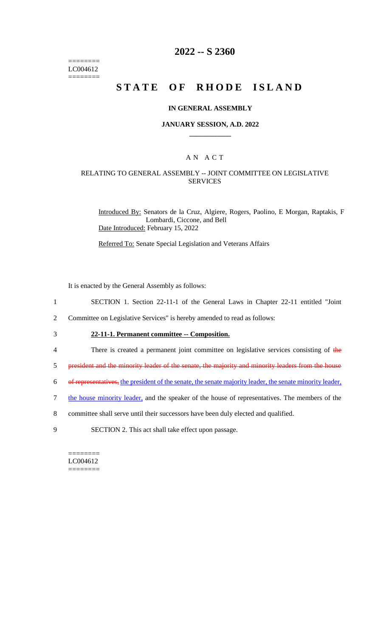======== LC004612 ========

## **2022 -- S 2360**

# **STATE OF RHODE ISLAND**

#### **IN GENERAL ASSEMBLY**

#### **JANUARY SESSION, A.D. 2022 \_\_\_\_\_\_\_\_\_\_\_\_**

## A N A C T

### RELATING TO GENERAL ASSEMBLY -- JOINT COMMITTEE ON LEGISLATIVE SERVICES

Introduced By: Senators de la Cruz, Algiere, Rogers, Paolino, E Morgan, Raptakis, F Lombardi, Ciccone, and Bell Date Introduced: February 15, 2022

Referred To: Senate Special Legislation and Veterans Affairs

It is enacted by the General Assembly as follows:

- 1 SECTION 1. Section 22-11-1 of the General Laws in Chapter 22-11 entitled "Joint
- 2 Committee on Legislative Services" is hereby amended to read as follows:
- 
- 3 **22-11-1. Permanent committee -- Composition.**
- 4 There is created a permanent joint committee on legislative services consisting of the
- 5 president and the minority leader of the senate, the majority and minority leaders from the house
- 6 of representatives, the president of the senate, the senate majority leader, the senate minority leader,
- 7 the house minority leader, and the speaker of the house of representatives. The members of the
- 8 committee shall serve until their successors have been duly elected and qualified.
- 9 SECTION 2. This act shall take effect upon passage.

======== LC004612 ========